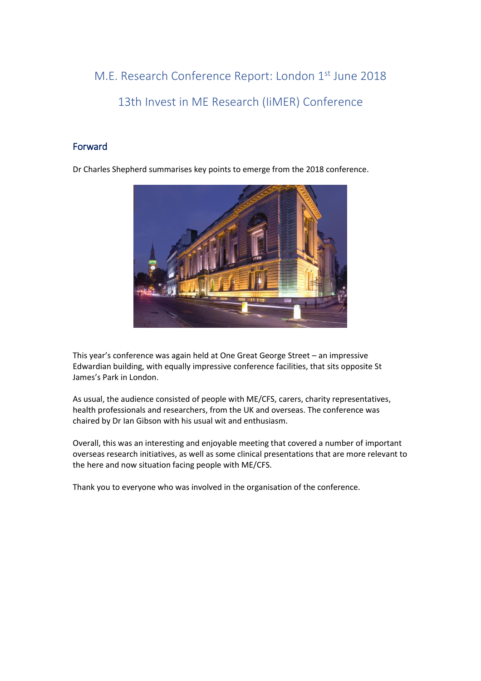M.E. Research Conference Report: London 1<sup>st</sup> June 2018 13th Invest in ME Research (IiMER) Conference

## Forward

Dr Charles Shepherd summarises key points to emerge from the 2018 conference.



This year's conference was again held at One Great George Street – an impressive Edwardian building, with equally impressive conference facilities, that sits opposite St James's Park in London.

As usual, the audience consisted of people with ME/CFS, carers, charity representatives, health professionals and researchers, from the UK and overseas. The conference was chaired by Dr Ian Gibson with his usual wit and enthusiasm.

Overall, this was an interesting and enjoyable meeting that covered a number of important overseas research initiatives, as well as some clinical presentations that are more relevant to the here and now situation facing people with ME/CFS.

Thank you to everyone who was involved in the organisation of the conference.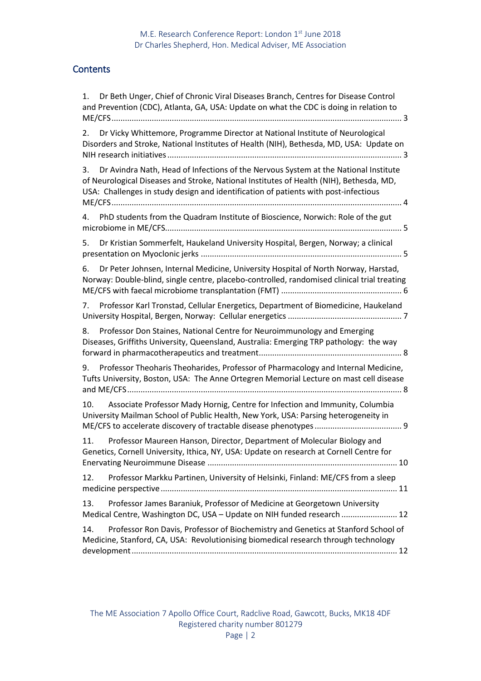# **Contents**

| Dr Beth Unger, Chief of Chronic Viral Diseases Branch, Centres for Disease Control<br>1.<br>and Prevention (CDC), Atlanta, GA, USA: Update on what the CDC is doing in relation to                                                                                          |
|-----------------------------------------------------------------------------------------------------------------------------------------------------------------------------------------------------------------------------------------------------------------------------|
| Dr Vicky Whittemore, Programme Director at National Institute of Neurological<br>2.<br>Disorders and Stroke, National Institutes of Health (NIH), Bethesda, MD, USA: Update on                                                                                              |
| Dr Avindra Nath, Head of Infections of the Nervous System at the National Institute<br>3.<br>of Neurological Diseases and Stroke, National Institutes of Health (NIH), Bethesda, MD,<br>USA: Challenges in study design and identification of patients with post-infectious |
| PhD students from the Quadram Institute of Bioscience, Norwich: Role of the gut<br>4.                                                                                                                                                                                       |
| Dr Kristian Sommerfelt, Haukeland University Hospital, Bergen, Norway; a clinical<br>5.                                                                                                                                                                                     |
| Dr Peter Johnsen, Internal Medicine, University Hospital of North Norway, Harstad,<br>6.<br>Norway: Double-blind, single centre, placebo-controlled, randomised clinical trial treating                                                                                     |
| Professor Karl Tronstad, Cellular Energetics, Department of Biomedicine, Haukeland<br>7.                                                                                                                                                                                    |
| Professor Don Staines, National Centre for Neuroimmunology and Emerging<br>8.<br>Diseases, Griffiths University, Queensland, Australia: Emerging TRP pathology: the way                                                                                                     |
| Professor Theoharis Theoharides, Professor of Pharmacology and Internal Medicine,<br>9.<br>Tufts University, Boston, USA: The Anne Ortegren Memorial Lecture on mast cell disease                                                                                           |
| Associate Professor Mady Hornig, Centre for Infection and Immunity, Columbia<br>10.<br>University Mailman School of Public Health, New York, USA: Parsing heterogeneity in                                                                                                  |
| 11.<br>Professor Maureen Hanson, Director, Department of Molecular Biology and<br>Genetics, Cornell University, Ithica, NY, USA: Update on research at Cornell Centre for                                                                                                   |
| Professor Markku Partinen, University of Helsinki, Finland: ME/CFS from a sleep<br>12.                                                                                                                                                                                      |
| Professor James Baraniuk, Professor of Medicine at Georgetown University<br>13.<br>Medical Centre, Washington DC, USA - Update on NIH funded research  12                                                                                                                   |
| Professor Ron Davis, Professor of Biochemistry and Genetics at Stanford School of<br>14.<br>Medicine, Stanford, CA, USA: Revolutionising biomedical research through technology                                                                                             |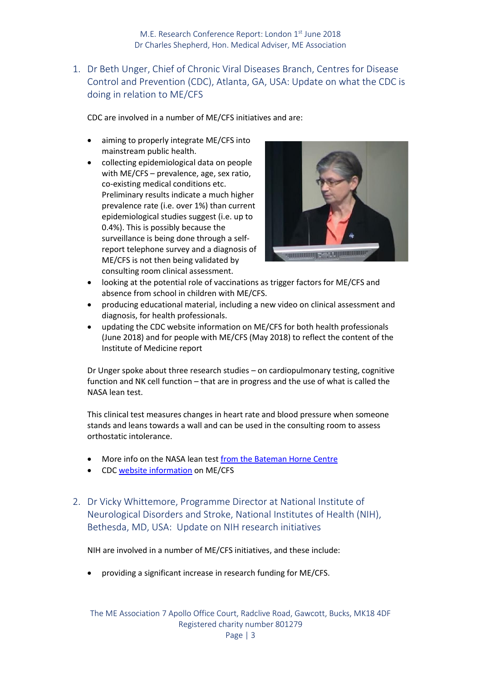<span id="page-2-0"></span>1. Dr Beth Unger, Chief of Chronic Viral Diseases Branch, Centres for Disease Control and Prevention (CDC), Atlanta, GA, USA: Update on what the CDC is doing in relation to ME/CFS

CDC are involved in a number of ME/CFS initiatives and are:

- aiming to properly integrate ME/CFS into mainstream public health.
- collecting epidemiological data on people with ME/CFS – prevalence, age, sex ratio, co-existing medical conditions etc. Preliminary results indicate a much higher prevalence rate (i.e. over 1%) than current epidemiological studies suggest (i.e. up to 0.4%). This is possibly because the surveillance is being done through a selfreport telephone survey and a diagnosis of ME/CFS is not then being validated by consulting room clinical assessment.



- looking at the potential role of vaccinations as trigger factors for ME/CFS and absence from school in children with ME/CFS.
- producing educational material, including a new video on clinical assessment and diagnosis, for health professionals.
- updating the CDC website information on ME/CFS for both health professionals (June 2018) and for people with ME/CFS (May 2018) to reflect the content of the Institute of Medicine report

Dr Unger spoke about three research studies – on cardiopulmonary testing, cognitive function and NK cell function – that are in progress and the use of what is called the NASA lean test.

This clinical test measures changes in heart rate and blood pressure when someone stands and leans towards a wall and can be used in the consulting room to assess orthostatic intolerance.

- More info on the NASA lean test [from the Bateman Horne Centre](https://batemanhornecenter.org/wp-content/uploads/2016/09/NASA-Lean-Test-Instructions.pdf)
- <span id="page-2-1"></span>• CDC [website information](https://www.cdc.gov/me-cfs/healthcare-providers/index.html) on ME/CFS
- 2. Dr Vicky Whittemore, Programme Director at National Institute of Neurological Disorders and Stroke, National Institutes of Health (NIH), Bethesda, MD, USA: Update on NIH research initiatives

NIH are involved in a number of ME/CFS initiatives, and these include:

• providing a significant increase in research funding for ME/CFS.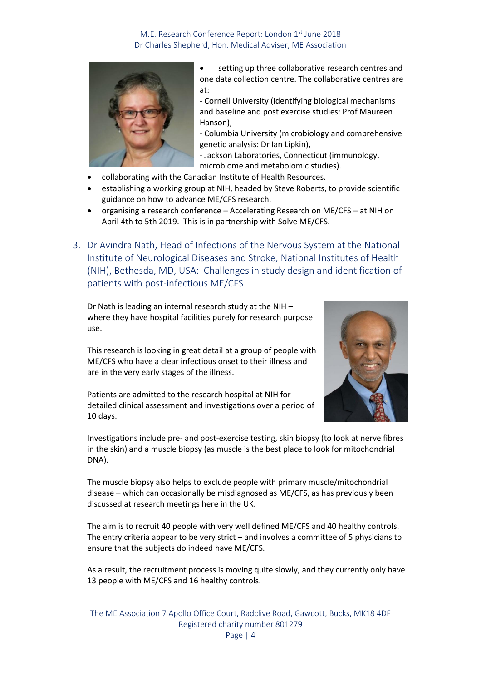

setting up three collaborative research centres and one data collection centre. The collaborative centres are at:

- Cornell University (identifying biological mechanisms and baseline and post exercise studies: Prof Maureen Hanson),

- Columbia University (microbiology and comprehensive genetic analysis: Dr Ian Lipkin),

- Jackson Laboratories, Connecticut (immunology, microbiome and metabolomic studies).

- collaborating with the Canadian Institute of Health Resources.
- establishing a working group at NIH, headed by Steve Roberts, to provide scientific guidance on how to advance ME/CFS research.
- organising a research conference Accelerating Research on ME/CFS at NIH on April 4th to 5th 2019. This is in partnership with Solve ME/CFS.
- <span id="page-3-0"></span>3. Dr Avindra Nath, Head of Infections of the Nervous System at the National Institute of Neurological Diseases and Stroke, National Institutes of Health (NIH), Bethesda, MD, USA: Challenges in study design and identification of patients with post-infectious ME/CFS

Dr Nath is leading an internal research study at the NIH – where they have hospital facilities purely for research purpose use.

This research is looking in great detail at a group of people with ME/CFS who have a clear infectious onset to their illness and are in the very early stages of the illness.

Patients are admitted to the research hospital at NIH for detailed clinical assessment and investigations over a period of 10 days.



Investigations include pre- and post-exercise testing, skin biopsy (to look at nerve fibres in the skin) and a muscle biopsy (as muscle is the best place to look for mitochondrial DNA).

The muscle biopsy also helps to exclude people with primary muscle/mitochondrial disease – which can occasionally be misdiagnosed as ME/CFS, as has previously been discussed at research meetings here in the UK.

The aim is to recruit 40 people with very well defined ME/CFS and 40 healthy controls. The entry criteria appear to be very strict – and involves a committee of 5 physicians to ensure that the subjects do indeed have ME/CFS.

As a result, the recruitment process is moving quite slowly, and they currently only have 13 people with ME/CFS and 16 healthy controls.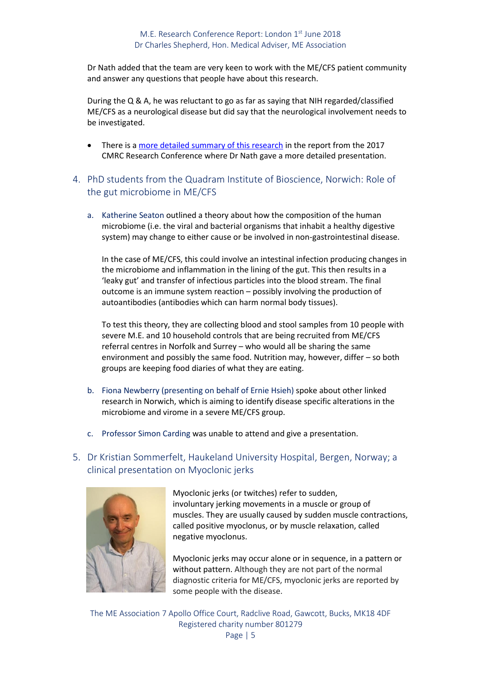Dr Nath added that the team are very keen to work with the ME/CFS patient community and answer any questions that people have about this research.

During the Q & A, he was reluctant to go as far as saying that NIH regarded/classified ME/CFS as a neurological disease but did say that the neurological involvement needs to be investigated.

- There is [a more detailed summary of this research](http://www.meassociation.org.uk/wp-content/uploads/2017-CMRC-Official-Research-Conference-Report-Jan-2018.pdf) in the report from the 2017 CMRC Research Conference where Dr Nath gave a more detailed presentation.
- <span id="page-4-0"></span>4. PhD students from the Quadram Institute of Bioscience, Norwich: Role of the gut microbiome in ME/CFS
	- a. Katherine Seaton outlined a theory about how the composition of the human microbiome (i.e. the viral and bacterial organisms that inhabit a healthy digestive system) may change to either cause or be involved in non-gastrointestinal disease.

In the case of ME/CFS, this could involve an intestinal infection producing changes in the microbiome and inflammation in the lining of the gut. This then results in a 'leaky gut' and transfer of infectious particles into the blood stream. The final outcome is an immune system reaction – possibly involving the production of autoantibodies (antibodies which can harm normal body tissues).

To test this theory, they are collecting blood and stool samples from 10 people with severe M.E. and 10 household controls that are being recruited from ME/CFS referral centres in Norfolk and Surrey – who would all be sharing the same environment and possibly the same food. Nutrition may, however, differ – so both groups are keeping food diaries of what they are eating.

- b. Fiona Newberry (presenting on behalf of Ernie Hsieh) spoke about other linked research in Norwich, which is aiming to identify disease specific alterations in the microbiome and virome in a severe ME/CFS group.
- c. Professor Simon Carding was unable to attend and give a presentation.

## <span id="page-4-1"></span>5. Dr Kristian Sommerfelt, Haukeland University Hospital, Bergen, Norway; a clinical presentation on Myoclonic jerks



Myoclonic jerks (or twitches) refer to sudden, involuntary jerking movements in a muscle or group of muscles. They are usually caused by sudden muscle contractions, called positive myoclonus, or by muscle relaxation, called negative myoclonus.

Myoclonic jerks may occur alone or in sequence, in a pattern or without pattern. Although they are not part of the normal diagnostic criteria for ME/CFS, myoclonic jerks are reported by some people with the disease.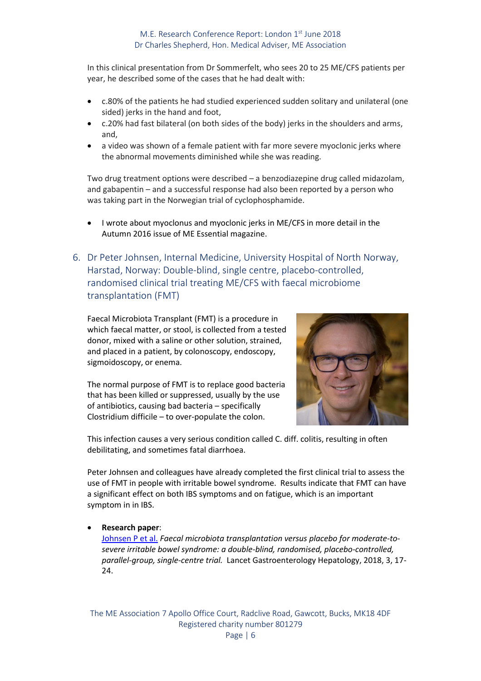In this clinical presentation from Dr Sommerfelt, who sees 20 to 25 ME/CFS patients per year, he described some of the cases that he had dealt with:

- c.80% of the patients he had studied experienced sudden solitary and unilateral (one sided) jerks in the hand and foot,
- c.20% had fast bilateral (on both sides of the body) jerks in the shoulders and arms, and,
- a video was shown of a female patient with far more severe myoclonic jerks where the abnormal movements diminished while she was reading.

Two drug treatment options were described – a benzodiazepine drug called midazolam, and gabapentin – and a successful response had also been reported by a person who was taking part in the Norwegian trial of cyclophosphamide.

- I wrote about myoclonus and myoclonic jerks in ME/CFS in more detail in the Autumn 2016 issue of ME Essential magazine.
- <span id="page-5-0"></span>6. Dr Peter Johnsen, Internal Medicine, University Hospital of North Norway, Harstad, Norway: Double-blind, single centre, placebo-controlled, randomised clinical trial treating ME/CFS with faecal microbiome transplantation (FMT)

Faecal Microbiota Transplant (FMT) is a procedure in which faecal matter, or stool, is collected from a tested donor, mixed with a saline or other solution, strained, and placed in a patient, by colonoscopy, endoscopy, sigmoidoscopy, or enema.

The normal purpose of FMT is to replace good bacteria that has been killed or suppressed, usually by the use of antibiotics, causing bad bacteria – specifically Clostridium difficile – to over-populate the colon.



This infection causes a very serious condition called C. diff. colitis, resulting in often debilitating, and sometimes fatal diarrhoea.

Peter Johnsen and colleagues have already completed the first clinical trial to assess the use of FMT in people with irritable bowel syndrome. Results indicate that FMT can have a significant effect on both IBS symptoms and on fatigue, which is an important symptom in in IBS.

### • **Research paper**:

[Johnsen P et al.](https://www.ncbi.nlm.nih.gov/pubmed/29100842) *Faecal microbiota transplantation versus placebo for moderate-tosevere irritable bowel syndrome: a double-blind, randomised, placebo-controlled, parallel-group, single-centre trial.* Lancet Gastroenterology Hepatology, 2018, 3, 17- 24.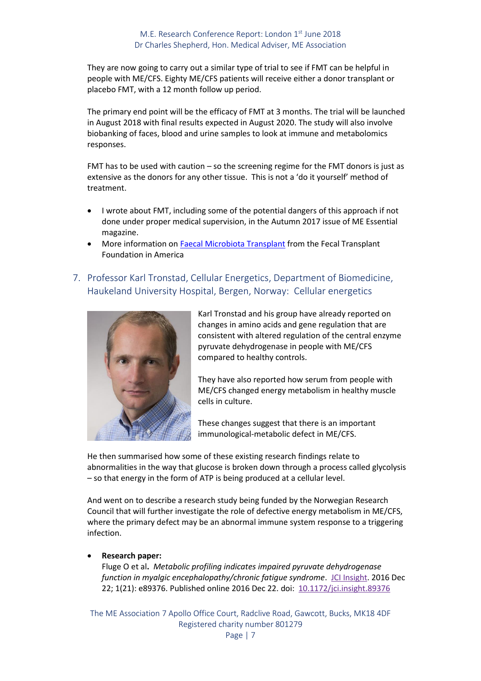They are now going to carry out a similar type of trial to see if FMT can be helpful in people with ME/CFS. Eighty ME/CFS patients will receive either a donor transplant or placebo FMT, with a 12 month follow up period.

The primary end point will be the efficacy of FMT at 3 months. The trial will be launched in August 2018 with final results expected in August 2020. The study will also involve biobanking of faces, blood and urine samples to look at immune and metabolomics responses.

FMT has to be used with caution – so the screening regime for the FMT donors is just as extensive as the donors for any other tissue. This is not a 'do it yourself' method of treatment.

- I wrote about FMT, including some of the potential dangers of this approach if not done under proper medical supervision, in the Autumn 2017 issue of ME Essential magazine.
- More information on **Faecal Microbiota Transplant** from the Fecal Transplant Foundation in America
- <span id="page-6-0"></span>7. Professor Karl Tronstad, Cellular Energetics, Department of Biomedicine, Haukeland University Hospital, Bergen, Norway: Cellular energetics



Karl Tronstad and his group have already reported on changes in amino acids and gene regulation that are consistent with altered regulation of the central enzyme pyruvate dehydrogenase in people with ME/CFS compared to healthy controls.

They have also reported how serum from people with ME/CFS changed energy metabolism in healthy muscle cells in culture.

These changes suggest that there is an important immunological-metabolic defect in ME/CFS.

He then summarised how some of these existing research findings relate to abnormalities in the way that glucose is broken down through a process called glycolysis – so that energy in the form of ATP is being produced at a cellular level.

And went on to describe a research study being funded by the Norwegian Research Council that will further investigate the role of defective energy metabolism in ME/CFS, where the primary defect may be an abnormal immune system response to a triggering infection.

### • **Research paper:**

Fluge O et al**.** *Metabolic profiling indicates impaired pyruvate dehydrogenase function in myalgic encephalopathy/chronic fatigue syndrome.* [JCI Insight.](https://www.ncbi.nlm.nih.gov/pmc/articles/PMC5161229/) 2016 Dec 22; 1(21): e89376. Published online 2016 Dec 22. doi: [10.1172/jci.insight.89376](https://dx.doi.org/10.1172%2Fjci.insight.89376)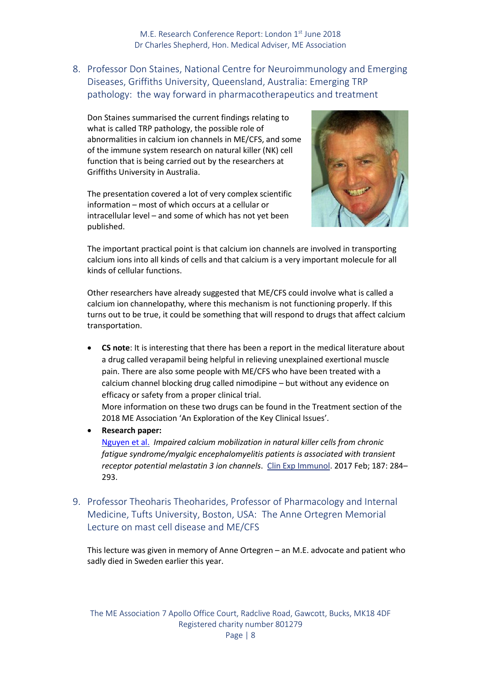<span id="page-7-0"></span>8. Professor Don Staines, National Centre for Neuroimmunology and Emerging Diseases, Griffiths University, Queensland, Australia: Emerging TRP pathology: the way forward in pharmacotherapeutics and treatment

Don Staines summarised the current findings relating to what is called TRP pathology, the possible role of abnormalities in calcium ion channels in ME/CFS, and some of the immune system research on natural killer (NK) cell function that is being carried out by the researchers at Griffiths University in Australia.

The presentation covered a lot of very complex scientific information – most of which occurs at a cellular or intracellular level – and some of which has not yet been published.



The important practical point is that calcium ion channels are involved in transporting calcium ions into all kinds of cells and that calcium is a very important molecule for all kinds of cellular functions.

Other researchers have already suggested that ME/CFS could involve what is called a calcium ion channelopathy, where this mechanism is not functioning properly. If this turns out to be true, it could be something that will respond to drugs that affect calcium transportation.

• **CS note**: It is interesting that there has been a report in the medical literature about a drug called verapamil being helpful in relieving unexplained exertional muscle pain. There are also some people with ME/CFS who have been treated with a calcium channel blocking drug called nimodipine – but without any evidence on efficacy or safety from a proper clinical trial.

More information on these two drugs can be found in the Treatment section of the 2018 ME Association 'An Exploration of the Key Clinical Issues'.

• **Research paper:**

[Nguyen et al.](https://www.ncbi.nlm.nih.gov/pmc/articles/PMC5217865/)*Impaired calcium mobilization in natural killer cells from chronic fatigue syndrome/myalgic encephalomyelitis patients is associated with transient receptor potential melastatin 3 ion channels*.Clin Exp Immunol. 2017 Feb; 187: 284– 293.

<span id="page-7-1"></span>9. Professor Theoharis Theoharides, Professor of Pharmacology and Internal Medicine, Tufts University, Boston, USA: The Anne Ortegren Memorial Lecture on mast cell disease and ME/CFS

This lecture was given in memory of Anne Ortegren – an M.E. advocate and patient who sadly died in Sweden earlier this year.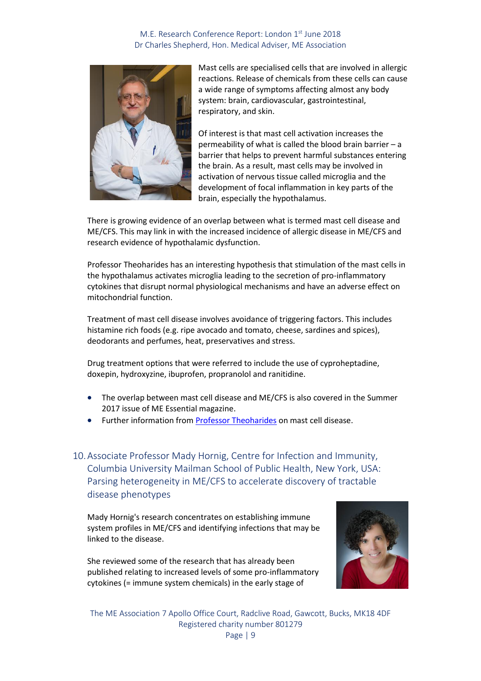

Mast cells are specialised cells that are involved in allergic reactions. Release of chemicals from these cells can cause a wide range of symptoms affecting almost any body system: brain, cardiovascular, gastrointestinal, respiratory, and skin.

Of interest is that mast cell activation increases the permeability of what is called the blood brain barrier – a barrier that helps to prevent harmful substances entering the brain. As a result, mast cells may be involved in activation of nervous tissue called microglia and the development of focal inflammation in key parts of the brain, especially the hypothalamus.

There is growing evidence of an overlap between what is termed mast cell disease and ME/CFS. This may link in with the increased incidence of allergic disease in ME/CFS and research evidence of hypothalamic dysfunction.

Professor Theoharides has an interesting hypothesis that stimulation of the mast cells in the hypothalamus activates microglia leading to the secretion of pro-inflammatory cytokines that disrupt normal physiological mechanisms and have an adverse effect on mitochondrial function.

Treatment of mast cell disease involves avoidance of triggering factors. This includes histamine rich foods (e.g. ripe avocado and tomato, cheese, sardines and spices), deodorants and perfumes, heat, preservatives and stress.

Drug treatment options that were referred to include the use of cyproheptadine, doxepin, hydroxyzine, ibuprofen, propranolol and ranitidine.

- The overlap between mast cell disease and ME/CFS is also covered in the Summer 2017 issue of ME Essential magazine.
- Further information from **Professor Theoharides** on mast cell disease.

10.Associate Professor Mady Hornig, Centre for Infection and Immunity, Columbia University Mailman School of Public Health, New York, USA: Parsing heterogeneity in ME/CFS to accelerate discovery of tractable disease phenotypes

Mady Hornig's research concentrates on establishing immune system profiles in ME/CFS and identifying infections that may be linked to the disease.

She reviewed some of the research that has already been published relating to increased levels of some pro-inflammatory cytokines (= immune system chemicals) in the early stage of

<span id="page-8-0"></span>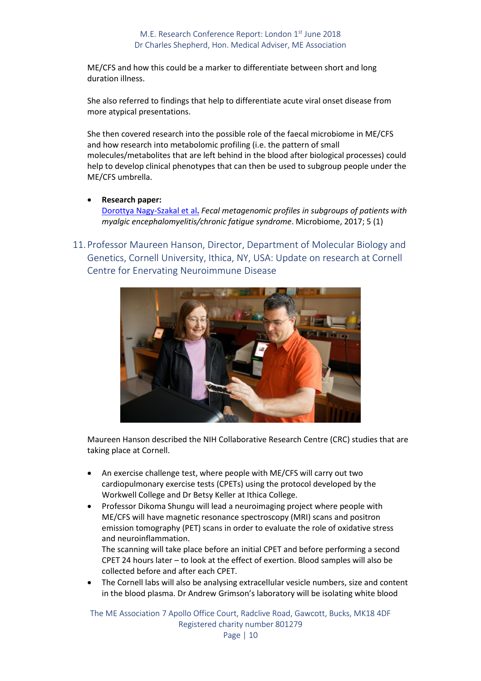ME/CFS and how this could be a marker to differentiate between short and long duration illness.

She also referred to findings that help to differentiate acute viral onset disease from more atypical presentations.

She then covered research into the possible role of the faecal microbiome in ME/CFS and how research into metabolomic profiling (i.e. the pattern of small molecules/metabolites that are left behind in the blood after biological processes) could help to develop clinical phenotypes that can then be used to subgroup people under the ME/CFS umbrella.

- **Research paper:** [Dorottya Nagy-Szakal et al](https://microbiomejournal.biomedcentral.com/articles/10.1186/s40168-017-0261-y)**.** *Fecal metagenomic profiles in subgroups of patients with myalgic encephalomyelitis/chronic fatigue syndrome*. Microbiome, 2017; 5 (1)
- <span id="page-9-0"></span>11.Professor Maureen Hanson, Director, Department of Molecular Biology and Genetics, Cornell University, Ithica, NY, USA: Update on research at Cornell Centre for Enervating Neuroimmune Disease



Maureen Hanson described the NIH Collaborative Research Centre (CRC) studies that are taking place at Cornell.

- An exercise challenge test, where people with ME/CFS will carry out two cardiopulmonary exercise tests (CPETs) using the protocol developed by the Workwell College and Dr Betsy Keller at Ithica College.
- Professor Dikoma Shungu will lead a neuroimaging project where people with ME/CFS will have magnetic resonance spectroscopy (MRI) scans and positron emission tomography (PET) scans in order to evaluate the role of oxidative stress and neuroinflammation.

The scanning will take place before an initial CPET and before performing a second CPET 24 hours later – to look at the effect of exertion. Blood samples will also be collected before and after each CPET.

• The Cornell labs will also be analysing extracellular vesicle numbers, size and content in the blood plasma. Dr Andrew Grimson's laboratory will be isolating white blood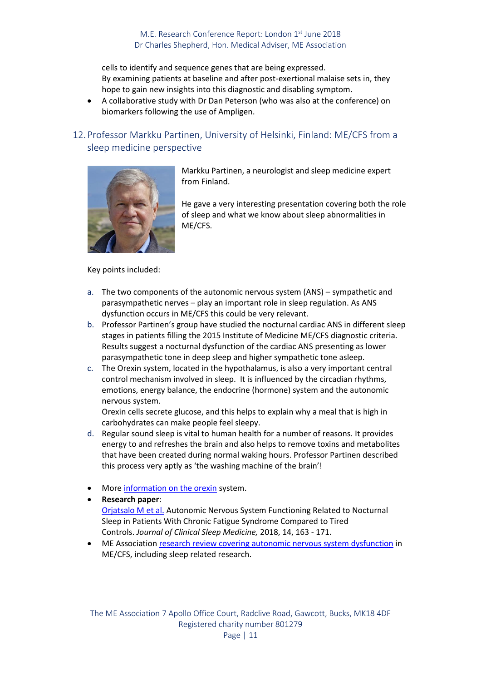cells to identify and sequence genes that are being expressed. By examining patients at baseline and after post-exertional malaise sets in, they hope to gain new insights into this diagnostic and disabling symptom.

• A collaborative study with Dr Dan Peterson (who was also at the conference) on biomarkers following the use of Ampligen.

# <span id="page-10-0"></span>12.Professor Markku Partinen, University of Helsinki, Finland: ME/CFS from a sleep medicine perspective



Markku Partinen, a neurologist and sleep medicine expert from Finland.

He gave a very interesting presentation covering both the role of sleep and what we know about sleep abnormalities in ME/CFS.

Key points included:

- a. The two components of the autonomic nervous system (ANS) sympathetic and parasympathetic nerves – play an important role in sleep regulation. As ANS dysfunction occurs in ME/CFS this could be very relevant.
- b. Professor Partinen's group have studied the nocturnal cardiac ANS in different sleep stages in patients filling the 2015 Institute of Medicine ME/CFS diagnostic criteria. Results suggest a nocturnal dysfunction of the cardiac ANS presenting as lower parasympathetic tone in deep sleep and higher sympathetic tone asleep.
- c. The Orexin system, located in the hypothalamus, is also a very important central control mechanism involved in sleep. It is influenced by the circadian rhythms, emotions, energy balance, the endocrine (hormone) system and the autonomic nervous system.

Orexin cells secrete glucose, and this helps to explain why a meal that is high in carbohydrates can make people feel sleepy.

- d. Regular sound sleep is vital to human health for a number of reasons. It provides energy to and refreshes the brain and also helps to remove toxins and metabolites that have been created during normal waking hours. Professor Partinen described this process very aptly as 'the washing machine of the brain'!
- More [information on the orexin](https://www.ncbi.nlm.nih.gov/pmc/articles/PMC3589707/) system.
- **Research paper**:

[Orjatsalo M et al.](https://www.ncbi.nlm.nih.gov/pubmed/29246267) Autonomic Nervous System Functioning Related to Nocturnal Sleep in Patients With Chronic Fatigue Syndrome Compared to Tired Controls. *Journal of Clinical Sleep Medicine,* 2018, 14, 163 - 171.

ME Association [research review covering autonomic nervous system dysfunction](http://www.meassociation.org.uk/wp-content/uploads/MEA-Summary-Review-Dysfunctional-ANS-in-MECFS-24.01.18.pdf) in ME/CFS, including sleep related research.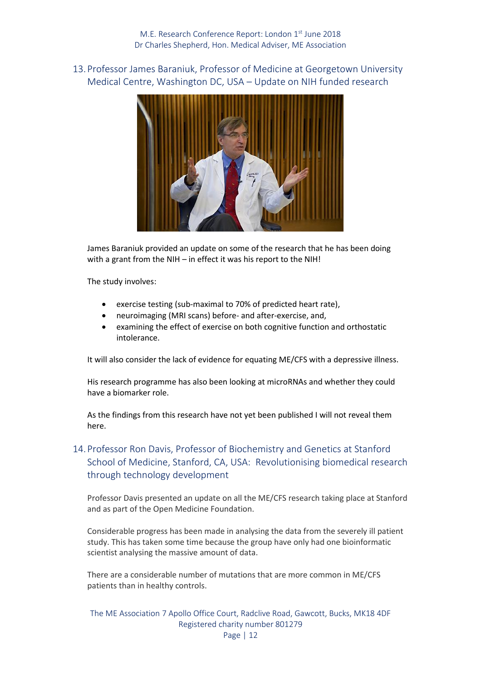<span id="page-11-0"></span>13.Professor James Baraniuk, Professor of Medicine at Georgetown University Medical Centre, Washington DC, USA – Update on NIH funded research



James Baraniuk provided an update on some of the research that he has been doing with a grant from the NIH – in effect it was his report to the NIH!

The study involves:

- exercise testing (sub-maximal to 70% of predicted heart rate),
- neuroimaging (MRI scans) before- and after-exercise, and,
- examining the effect of exercise on both cognitive function and orthostatic intolerance.

It will also consider the lack of evidence for equating ME/CFS with a depressive illness.

His research programme has also been looking at microRNAs and whether they could have a biomarker role.

<span id="page-11-1"></span>As the findings from this research have not yet been published I will not reveal them here.

# 14.Professor Ron Davis, Professor of Biochemistry and Genetics at Stanford School of Medicine, Stanford, CA, USA: Revolutionising biomedical research through technology development

Professor Davis presented an update on all the ME/CFS research taking place at Stanford and as part of the Open Medicine Foundation.

Considerable progress has been made in analysing the data from the severely ill patient study. This has taken some time because the group have only had one bioinformatic scientist analysing the massive amount of data.

There are a considerable number of mutations that are more common in ME/CFS patients than in healthy controls.